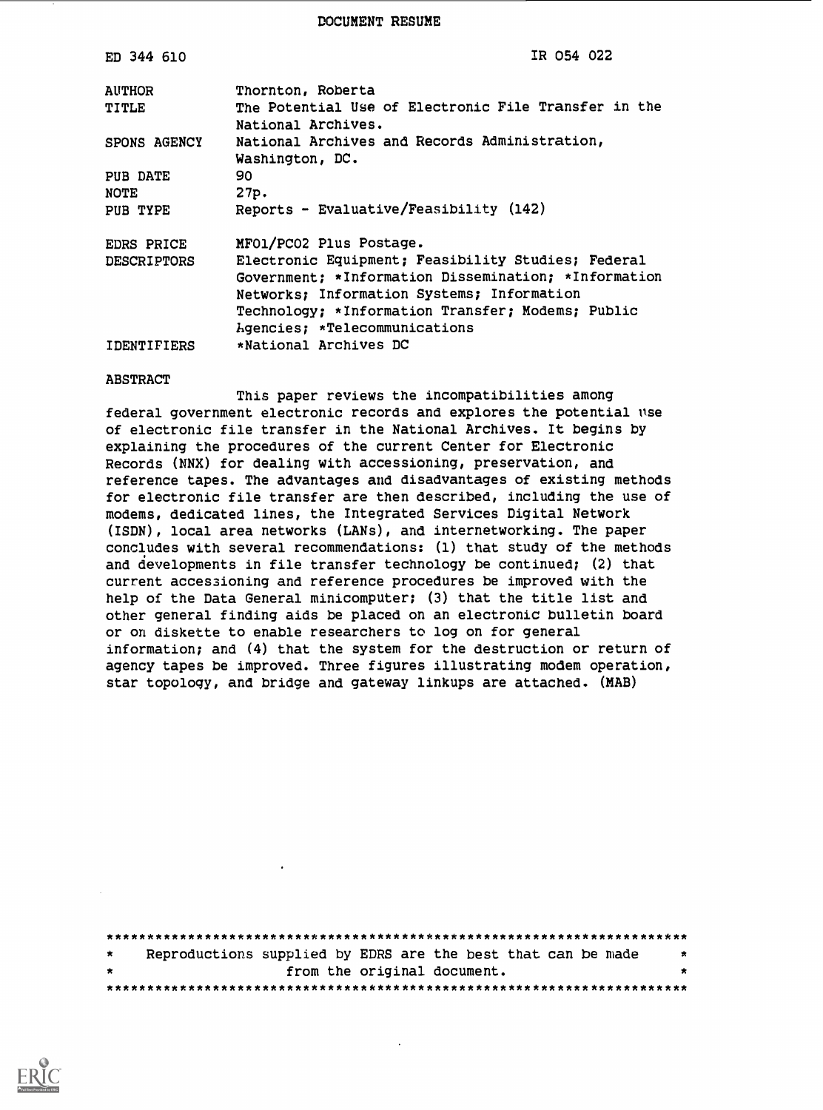DOCUMENT RESUME

| ED 344 610         | IR 054 022                                                                 |
|--------------------|----------------------------------------------------------------------------|
| <b>AUTHOR</b>      | Thornton, Roberta                                                          |
| TITLE              | The Potential Use of Electronic File Transfer in the<br>National Archives. |
| SPONS AGENCY       | National Archives and Records Administration,<br>Washington, DC.           |
| PUB DATE           | 90                                                                         |
| <b>NOTE</b>        | 27p.                                                                       |
| PUB TYPE           | Reports - Evaluative/Feasibility (142)                                     |
| EDRS PRICE         | MF01/PC02 Plus Postage.                                                    |
| <b>DESCRIPTORS</b> | Electronic Equipment; Feasibility Studies; Federal                         |
|                    | Government; *Information Dissemination; *Information                       |
|                    | Networks; Information Systems; Information                                 |
|                    | Technology; *Information Transfer; Modems; Public                          |
|                    | Agencies; *Telecommunications<br>*National Archives DC                     |
| IDENTIFIERS        |                                                                            |

#### ABSTRACT

This paper reviews the incompatibilities among federal government electronic records and explores the potential use of electronic file transfer in the National Archives. It begins by explaining the procedures of the current Center for Electronic Records (NNX) for dealing with accessioning, preservation, and reference tapes. The advantages and disadvantages of existing methods for electronic file transfer are then described, including the use of modems, dedicated lines, the Integrated Services Digital Network (ISDN), local area networks (LANs), and internetworking. The paper concludes with several recommendations: (1) that study of the methods and developments in file transfer technology be continued; (2) that current accessioning and reference procedures be improved with the help of the Data General minicomputer; (3) that the title list and other general finding aids be placed on an electronic bulletin board or on diskette to enable researchers to log on for general information; and (4) that the system for the destruction or return of agency tapes be improved. Three figures illustrating modem operation, star topology, and bridge and gateway linkups are attached. (MAB)

| $\star$ | Reproductions supplied by EDRS are the best that can be made |  |                             |  | 大 |
|---------|--------------------------------------------------------------|--|-----------------------------|--|---|
|         |                                                              |  | from the original document. |  |   |
|         |                                                              |  |                             |  |   |

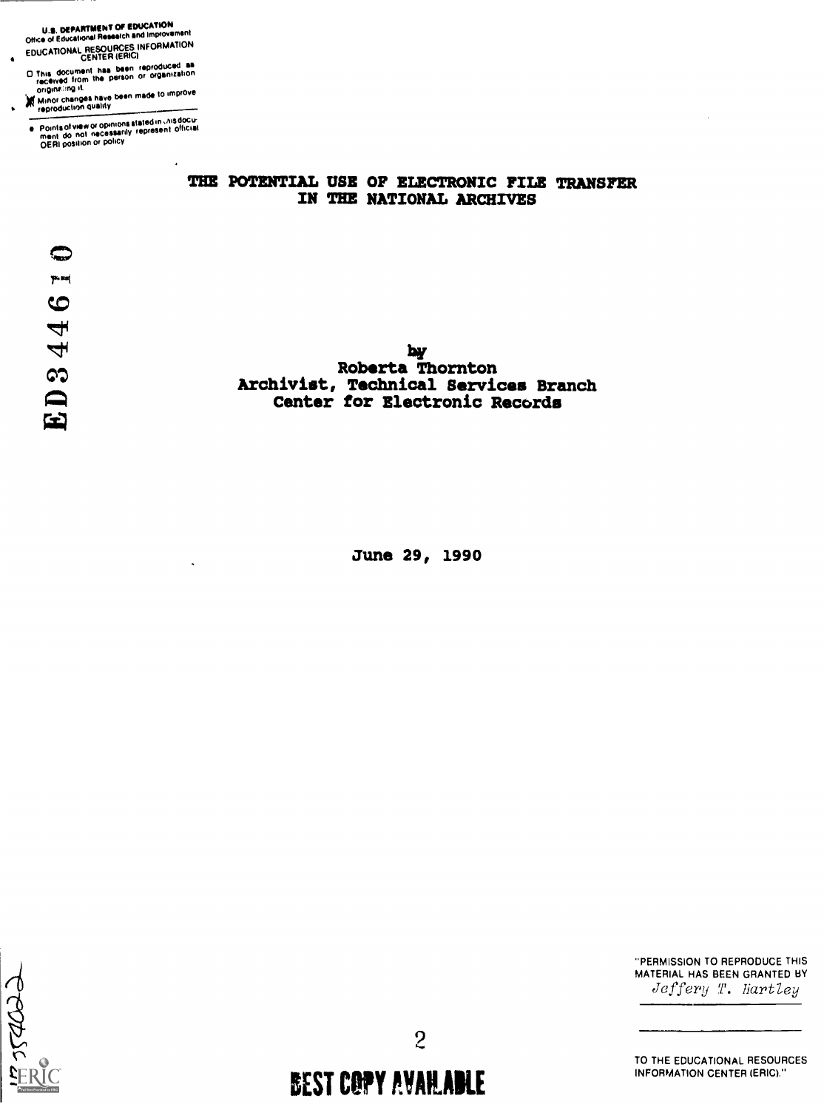U.S. DEPARTMENT OF EDUCATION<br>Office of Educational Research and Improvement EDUCATIONAL RESOURCES INFORMATION CENTER (ERIC)

0 This document has been reproduced as received from the person or organization origine ing it.

yi Minor changes have been made to Improve reproduchbh quality

Points of view or opinions stated in Unis docu-<br>ment ido\_not\_necessarily\_represent\_official<br>OERI position or policy

#### THE POTENTIAL USE OF ELECTRONIC FILE TRANSFER IN THE NATIONAL ARCHIVES

 $\bullet$ 

**by** Roberta Thornton Archivist, Technical Services Branch Center for Electronic Records

June 29, 1990



"PERMISSION TO REPRODUCE THIS MATERIAL HAS BEEN GRANTED BY Jeffery T. Hartley

TO THE EDUCATIONAL RESOURCES INFORMATION CENTER (ERIC)."

BEST COPY AVAILABLE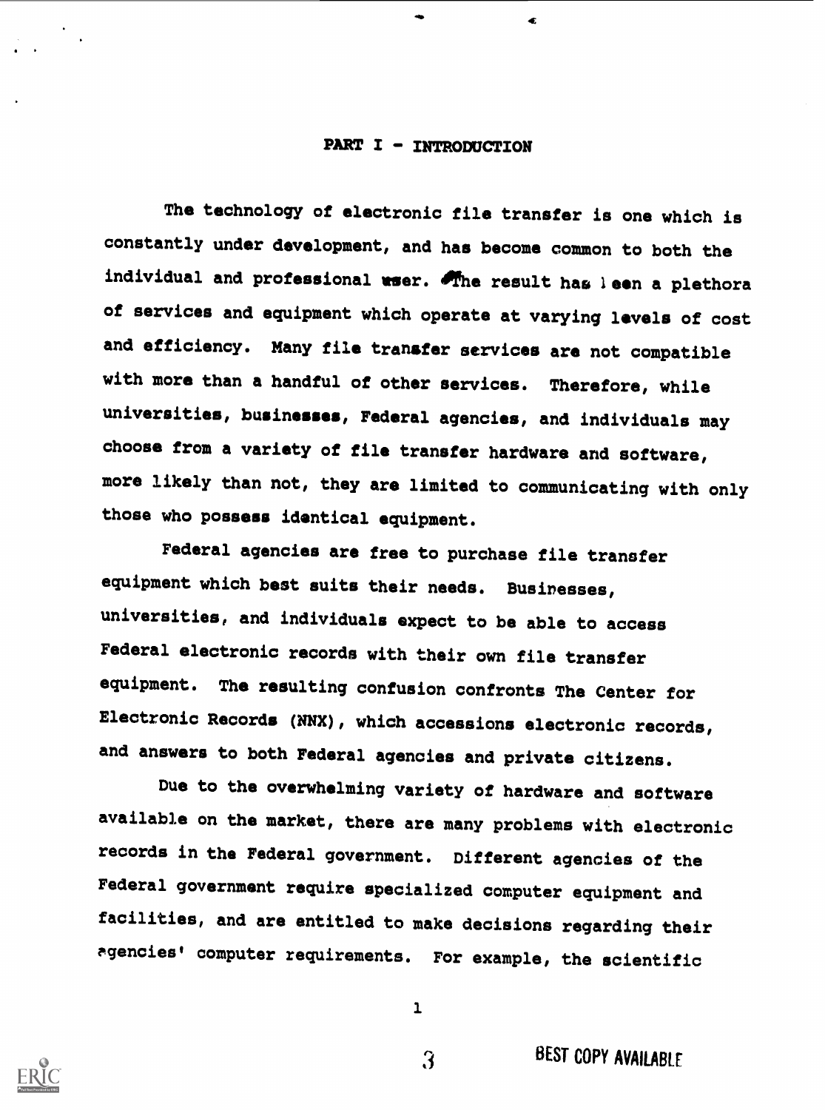#### PART I - INTRODUCTION

đ.

The technology of electronic file transfer is one which is constantly under development, and has become common to both the individual and professional user. The result has leen a plethora of services and equipment which operate at varying levels of cost and efficiency. Many file transfer services are not compatible with more than a handful of other services. Therefore, while universities, businesses, Federal agencies, and individuals may choose from a variety of file transfer hardware and software, more likely than not, they are limited to communicating with only those who possess identical equipment.

Federal agencies are free to purchase file transfer equipment which best suits their needs. Businesses, universities, and individuals expect to be able to access Federal electronic records with their own file transfer equipment. The resulting confusion confronts The Center for Electronic Records (NNX), which accessions electronic records, and answers to both Federal agencies and private citizens.

Due to the overwhelming variety of hardware and software available on the market, there are many problems with electronic records in the Federal government. Different agencies of the Federal government require specialized computer equipment and facilities, and are entitled to make decisions regarding their agencies' computer requirements. For example, the scientific



1

 $\overline{\mathbf{3}}$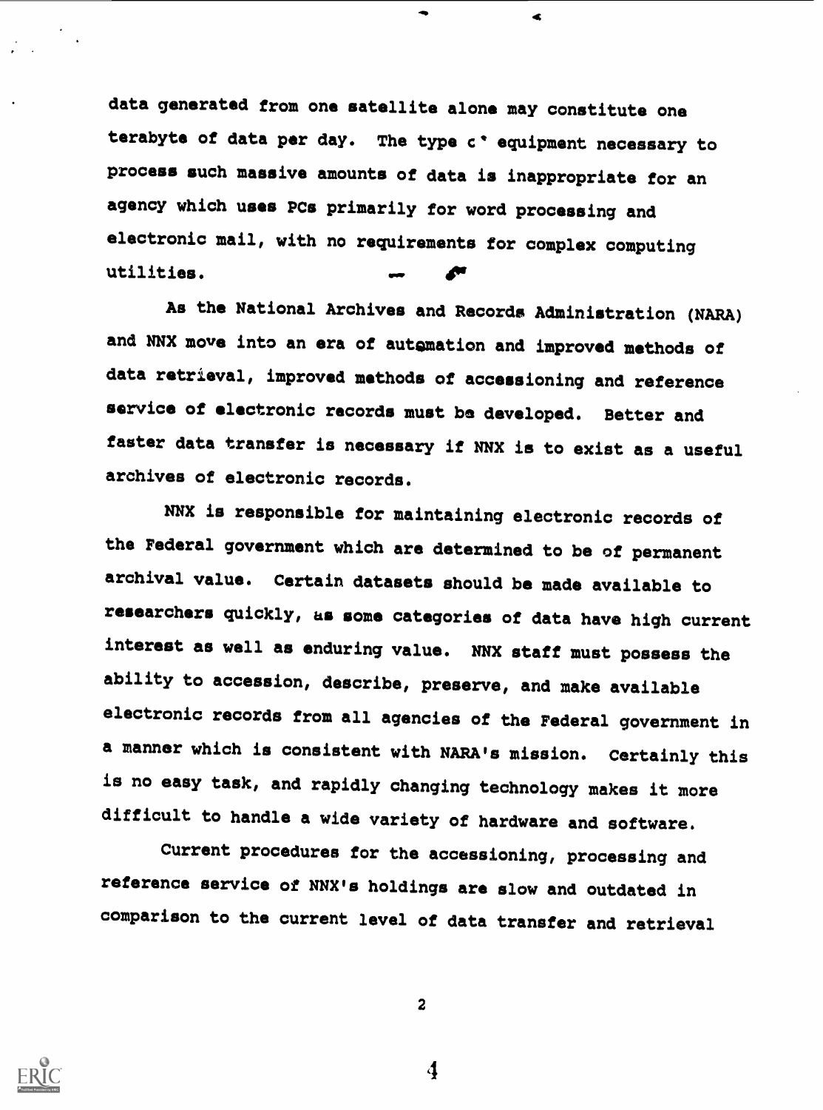data generated from one satellite alone may constitute one terabyte of data per day. The type c' equipment necessary to process such massive amounts of data is inappropriate for an agency which uses PCs primarily for word processing and electronic mail, with no requirements for complex computing utilities.

As the National Archives and Records Administration (NARA) and NNX move into an era of automation and improved methods of data retrieval, improved methods of accessioning and reference service of electronic records must be developed. Better and faster data transfer is necessary if NNX is to exist as a useful archives of electronic records.

NNX is responsible for maintaining electronic records of the Federal government which are determined to be of permanent archival value. Certain datasets should be made available to researchers quickly, us some categories of data have high current interest as well as enduring value. NNX staff must possess the ability to accession, describe, preserve, and make available electronic records from all agencies of the Federal government in a manner which is consistent with NARA's mission. Certainly this is no easy task, and rapidly changing technology makes it more difficult to handle a wide variety of hardware and software.

Current procedures for the accessioning, processing and reference service of NNX's holdings are slow and outdated in comparison to the current level of data transfer and retrieval



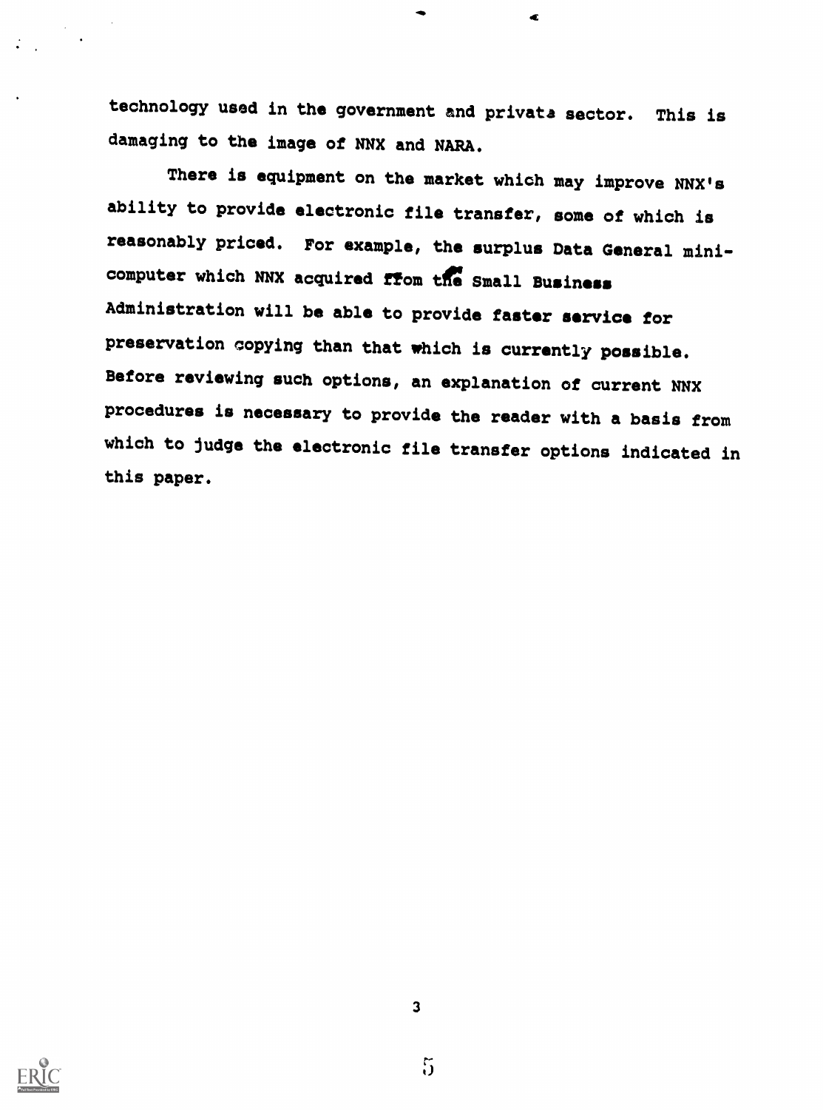technology used in the government and privata sector. This is damaging to the image of NNX and NARA.

Æ

There is equipment on the market which may improve NNX's ability to provide electronic file transfer, some of which is reasonably priced. For example, the surplus Data General minicomputer which NNX acquired from the Small Business Administration will be able to provide faster service for preservation copying than that which is currently possible. Before reviewing such options, an explanation of current NNX procedures is necessary to provide the reader with a basis from which to judge the electronic file transfer options indicated in this paper.



 $5\overline{)}$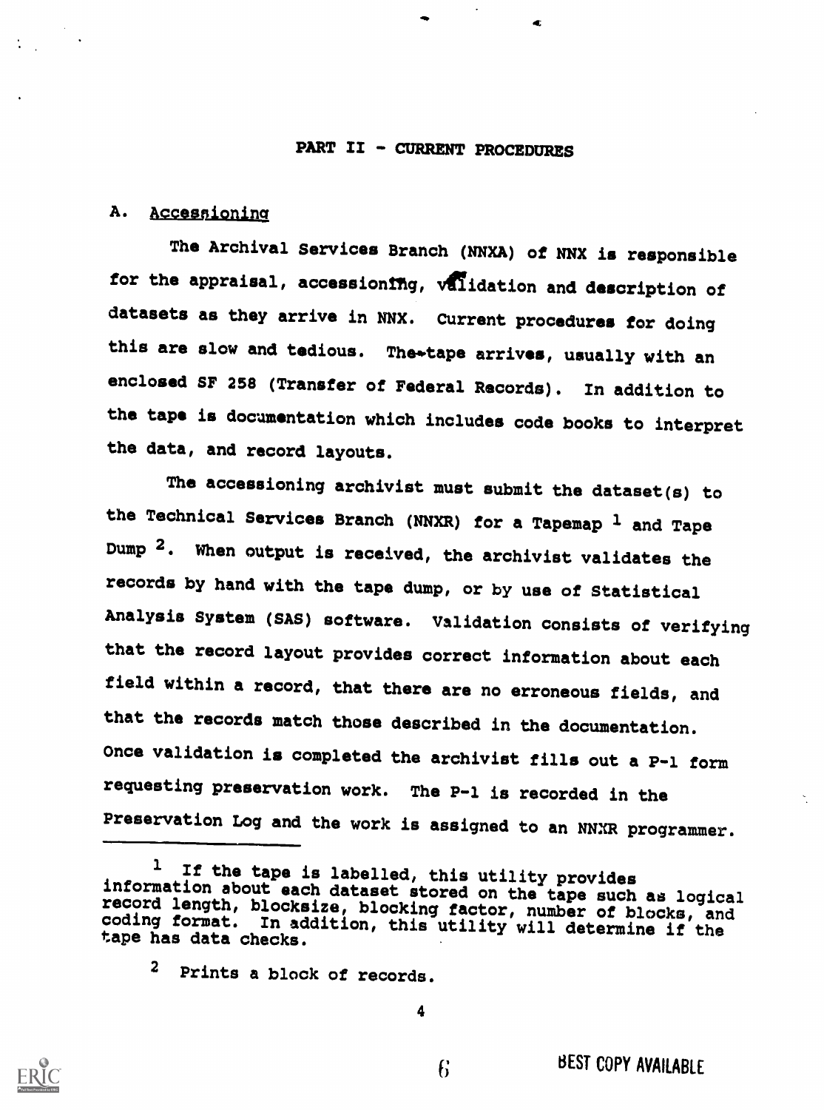#### PART II - CURRENT PROCEDURES

#### A. Accessioning

The Archival Services Branch (NNXA) of NNX is responsible for the appraisal, accessioning, validation and description of datasets as they arrive in NNX. Current procedures for doing this are slow and tedious. The tape arrives, usually with an enclosed SF 258 (Transfer of Federal Records). In addition to the tape is docamentation which includes code books to interpret the data, and record layouts.

The accessioning archivist must submit the dataset(s) to the Technical Services Branch (NNXR) for a Tapemap  $1$  and Tape Dump <sup>2</sup>. When output is received, the archivist validates the records by hand with the tape dump, or by use of Statistical Analysis System (SAS) software. Validation consists of verifying that the record layout provides correct information about each field within a record, that there are no erroneous fields, and that the records match those described in the documentation. Once validation is completed the archivist fills out a P-1 form requesting preservation work. The P-1 is recorded in the Preservation Log and the work is assigned to an NNXR programmer.

2 Prints a block of records.



<sup>&</sup>lt;sup>1</sup> If the tape is labelled, this utility provides<br>information about each dataset stored on the tape such as logical<br>record length, blocksize, blocking factor, number of blocks, and<br>coding format. In addition, this utility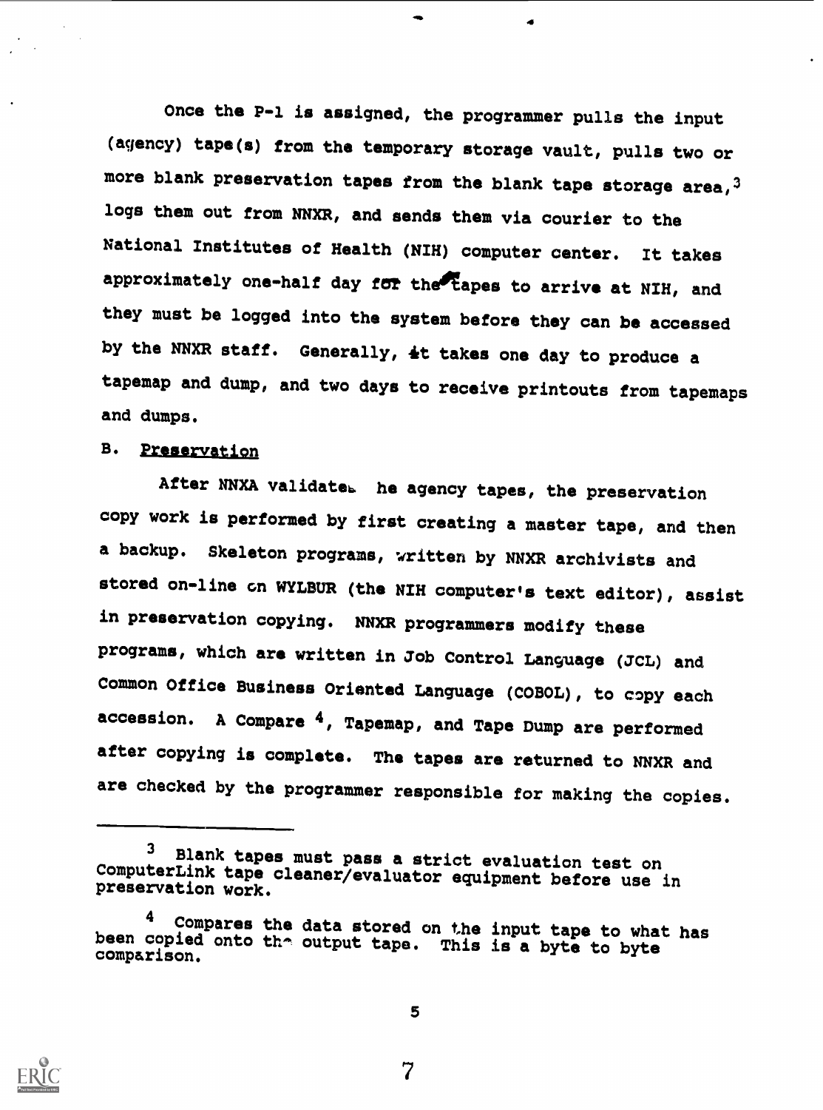Once the P-1 is assigned, the programmer pulls the input (agency) tape(s) from the temporary storage vault, pulls two or more blank preservation tapes from the blank tape storage area,  $3$ logs them out from NNXR, and sends them via courier to the National Institutes of Health (NIH) computer center. It takes approximately one-half day for the tapes to arrive at NIH, and they must be logged into the system before they can be accessed by the NNXR staff. Generally, 4t takes one day to produce a tapemap and dump, and two days to receive printouts from tapemaps and dumps.

# B. Preservation

After NNXA validateb he agency tapes, the preservation copy work is performed by first creating a master tape, and then a backup. Skeleton programs, written by NNXR archivists and stored on-line on WYLBUR (the NIH computer's text editor), assist in preservation copying. NNXR programmers modify these programs, which are written in Job Control Language (JCL) and Common Office Business Oriented Language (COBOL), to copy each accession. A Compare 4, Tapemap, and Tape Dump are performed after copying is complete. The tapes are returned to NNXR and are checked by the programmer responsible for making the copies.



5

<sup>&</sup>lt;sup>3</sup> Blank tapes must pass a strict evaluation test on ComputerLink tape cleaner/evaluator equipment before use in preservation work.

 $4$  Compares the data stored on the input tape to what has been copied onto the output tape. This is a byte to byte comparison.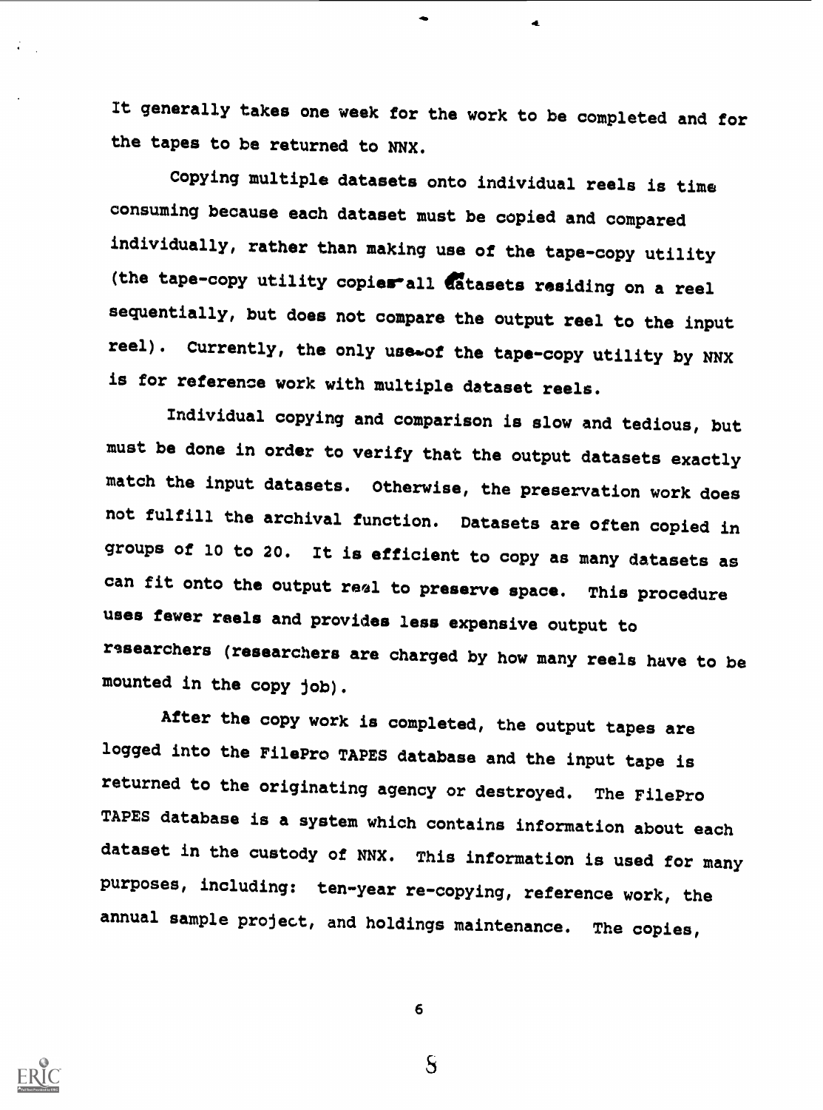It generally takes one week for the work to be completed and for the tapes to be returned to NNX.

 $\triangleleft$ 

Copying multiple datasets onto individual reels is time consuming because each dataset must be copied and compared individually, rather than making use of the tape-copy utility (the tape-copy utility copies-all atasets residing on a reel sequentially, but does not compare the output reel to the input reel). Currently, the only use\*of the tape-copy utility by NNX is for reference work with multiple dataset reels.

Individual copying and comparison is slow and tedious, but must be done in order to verify that the output datasets exactly match the input datasets. Otherwise, the preservation work does not fulfill the archival function. Datasets are often copied in groups of 10 to 20. It is efficient to copy as many datasets as can fit onto the output real to preserve space. This procedure uses fewer reels and provides less expensive output to researchers (researchers are charged by how many reels have to be mounted in the copy job).

After the copy work is completed, the output tapes are logged into the FilePro TAPES database and the input tape is returned to the originating agency or destroyed. The FilePro TAPES database is a system which contains information about each dataset in the custody of NNX. This information is used for many purposes, including: ten-year re-copying, reference work, the annual sample project, and holdings maintenance. The copies,



6

 $S$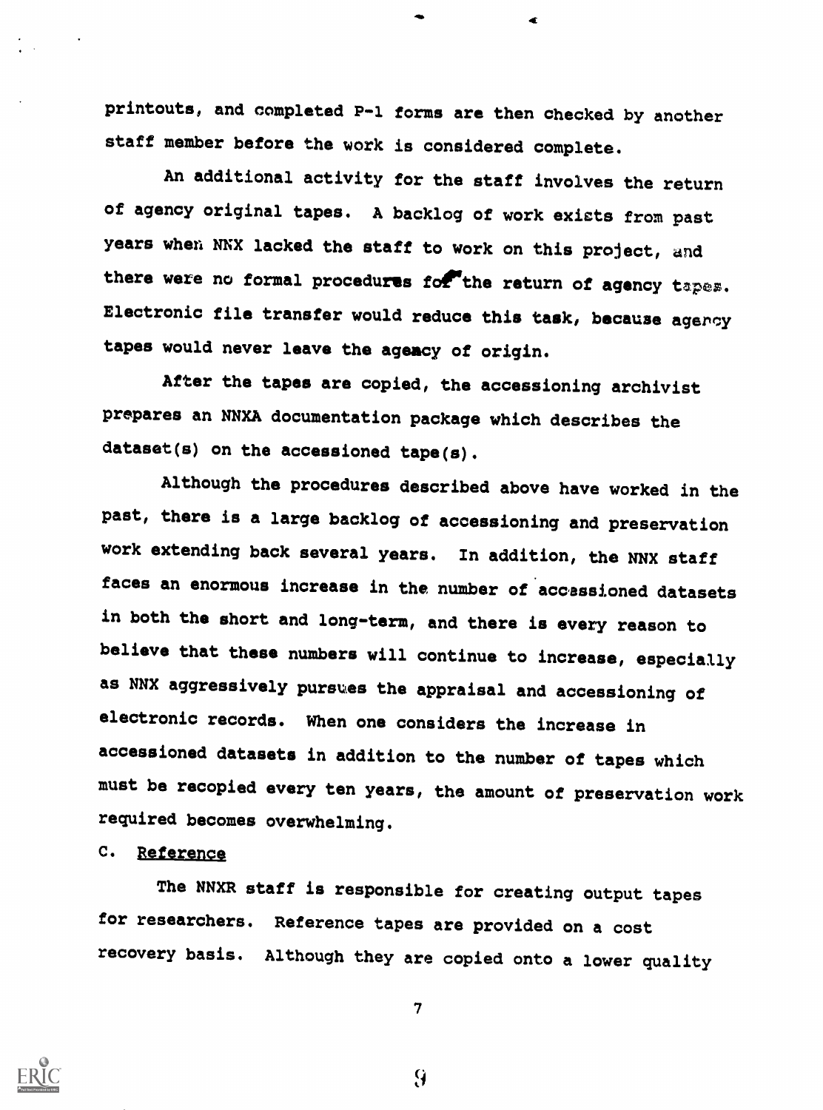printouts, and completed P-1 forms are then checked by another staff member before the work is considered complete.

An additional activity for the staff involves the return of agency original tapes. A backlog of work exicts from past years when NNX lacked the staff to work on this project, and there were no formal procedures for the return of agency tapes. Electronic file transfer would reduce this task, because agercy tapes would never leave the agency of origin.

After the tapes are copied, the accessioning archivist prepares an NNXA documentation package which describes the dataset(s) on the accessioned tape(s).

Although the procedures described above have worked in the past, there is a large backlog of accessioning and preservation work extending back several years. In addition, the NNX staff faces an enormous increase in the number of accessioned datasets in both the short and long-term, and there is every reason to believe that these numbers will continue to increase, especially as NNX aggressively pursues the appraisal and accessioning of electronic records. When one considers the increase in accessioned datasets in addition to the number of tapes which must be recopied every ten years, the amount of preservation work required becomes overwhelming.

## C. Reference

The NNXR staff is responsible for creating output tapes for researchers. Reference tapes are provided on a cost recovery basis. Although they are copied onto a lower quality

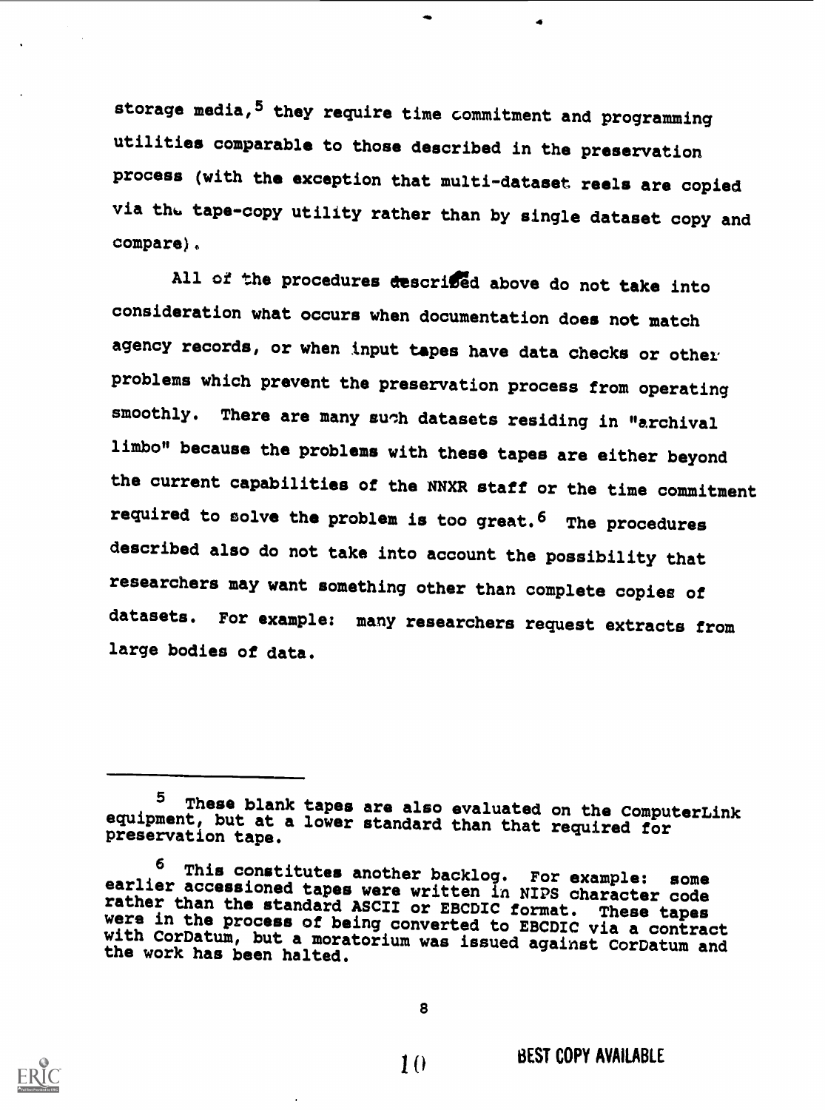storage media, <sup>5</sup> they require time commitment and programming utilities comparable to those described in the preservation process (with the exception that multi-dataset reels are copied via the tape-copy utility rather than by single dataset copy and compare).

All of the procedures described above do not take into consideration what occurs when documentation does not match agency records, or when input tapes have data checks or other problems which prevent the preservation process from operating smoothly. There are many such datasets residing in "archival limbo" because the problems with these tapes are either beyond the current capabilities of the NNXR staff or the time commitment required to solve the problem is too great.<sup>6</sup> The procedures described also do not take into account the possibility that researchers may want something other than complete copies of datasets. For example: many researchers request extracts from large bodies of data.



<sup>5</sup> These blank tapes are also evaluated on the ComputerLink equipment, but at a lower standard than that required for preservation tape.

<sup>&</sup>lt;sup>6</sup> This constitutes another backlog. For example: some<br>earlier accessioned tapes were written in NIPS character code<br>rather than the standard ASCII or EBCDIC format. These tapes<br>were in the process of being converted to E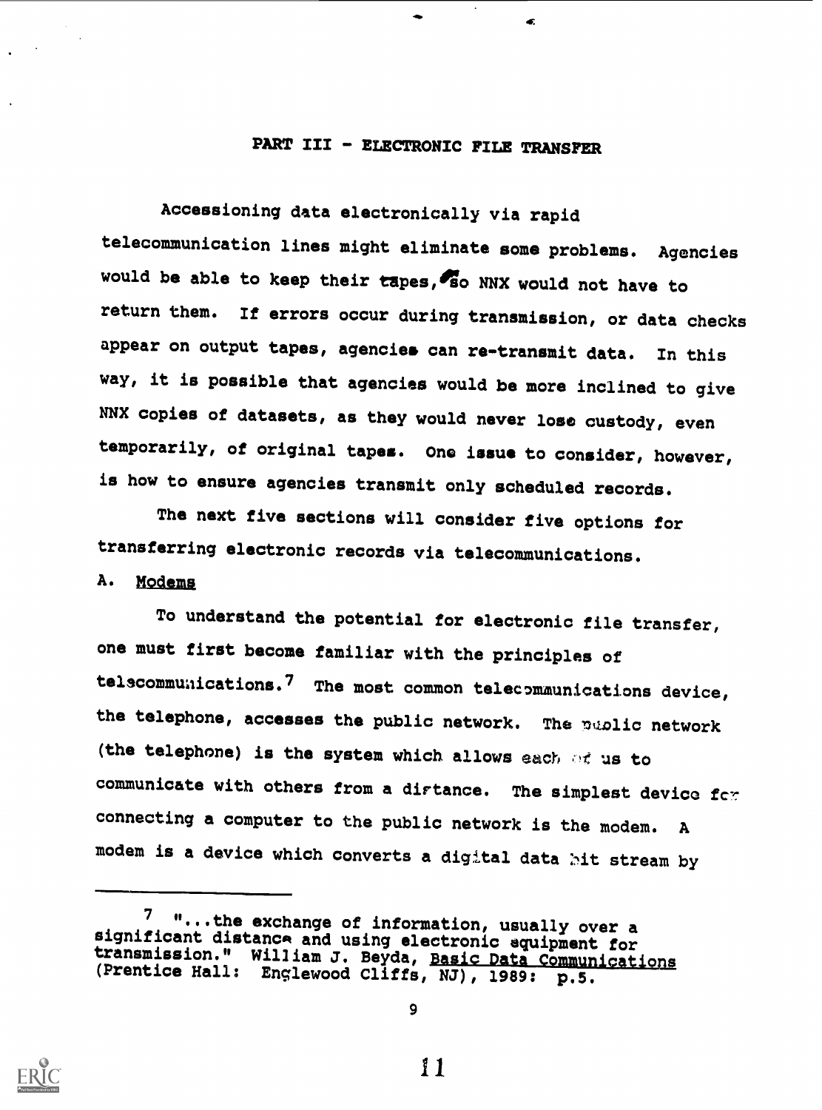# PART III - ELECTRONIC FILE TRANSFER

Æ,

Accessioning data electronically via rapid telecommunication lines might eliminate some problems. Agencies would be able to keep their tapes, so NNX would not have to return them. If errors occur during transmission, or data checks appear on output tapes, agencies can re-transmit data. In this way, it is possible that agencies would be more inclined to give NNX copies of datasets, as they would never lose custody, even temporarily, of original tapes. Ono issue to consider, however, is how to ensure agencies transmit only scheduled records.

The next five sections will consider five options for transferring electronic records via telecommunications.

# A. Modems

To understand the potential for electronic file transfer, one must first become familiar with the principles of telscommunications.<sup>7</sup> The most common telecommunications device, the telephone, accesses the public network. The public network (the telephone) is the system which allows each of us to communicate with others from a dirtance. The simplest device for connecting a computer to the public network is the modem. <sup>A</sup> modem is a device which converts a digital data hit stream by



9

<sup>7 &</sup>quot;...the exchange of information, usually over a significant distance and using electronic equipment for significant distance distance and using transmission." William J. Beyda, Basic Data Communications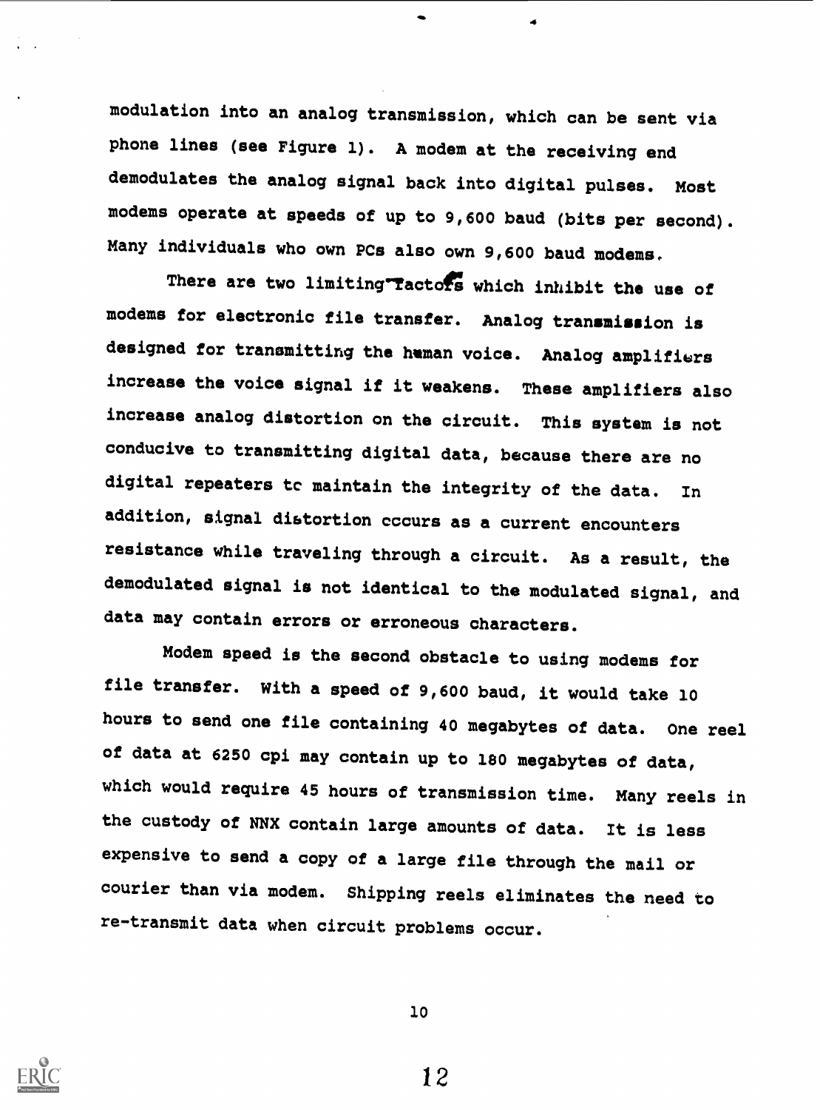modulation into an analog transmission, which can be sent via phone lines (see Figure 1). A modem at the receiving end demodulates the analog signal back into digital pulses. Most modems operate at speeds of up to 9,600 baud (bits per second). Many individuals who own PCs also own 9,600 baud modems.

There are two limiting Tactors which inhibit the use of modems for electronic file transfer. Analog transmission is designed for transmitting the human voice. Analog amplifiers increase the voice signal if it weakens. These amplifiers also increase analog distortion on the circuit. This system is not conducive to transmitting digital data, because there are no digital repeaters tc maintain the integrity of the data. In addition, signal dietortion occurs as a current encounters resistance while traveling through a circuit. As a result, the demodulated signal is not identical to the modulated signal, and data may contain errors or erroneous characters.

Modem speed is the second obstacle to using modems for file transfer. With a speed of 9,600 baud, it would take <sup>10</sup> hours to send one file containing 40 megabytes of data. One reel of data at 6250 cpi may contain up to 180 megabytes of data, which would require 45 hours of transmission time. Many reels in the custody of NNX contain large amounts of data. It is less expensive to send a copy of a large file through the mail or courier than via modem. Shipping reels eliminates the need to re-transmit data when circuit problems occur.

10

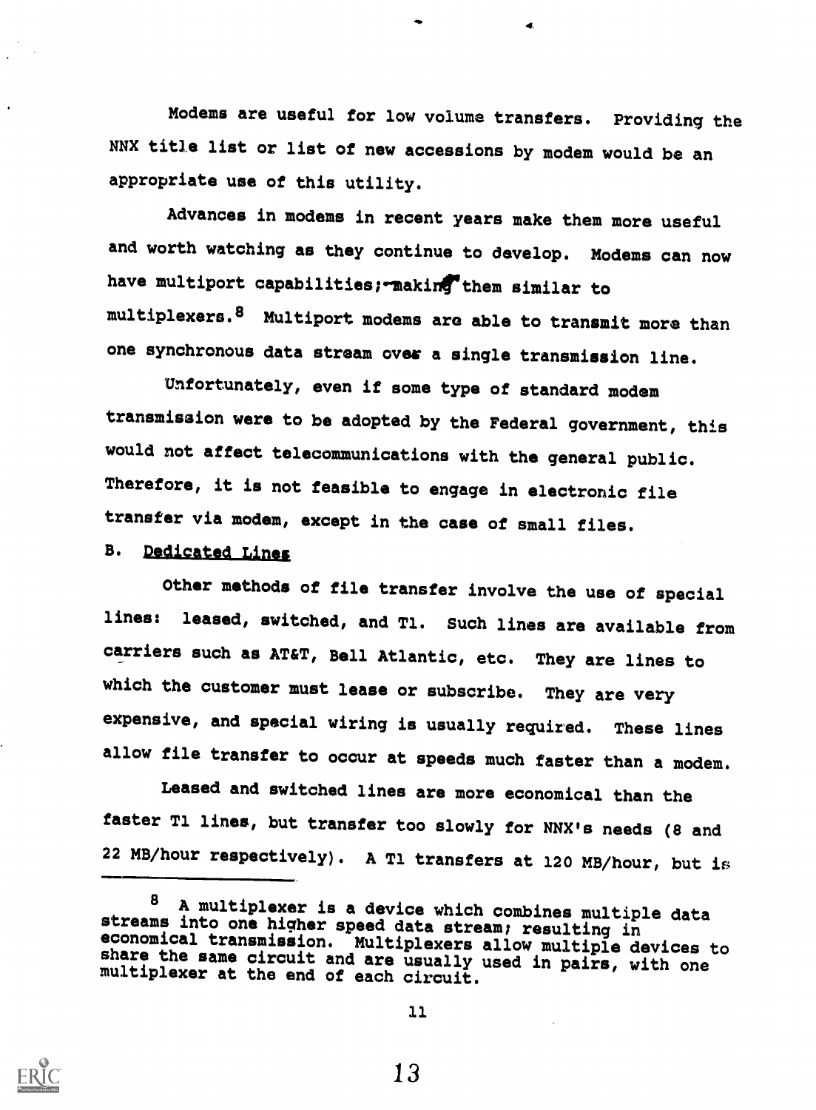Modems are useful for low volume transfers. Providing the NNX title list or list of new accessions by modem would be an appropriate use of this utility.

Advances in modems in recent years make them more useful and worth watching as they continue to develop. Modems can now have multiport capabilities; making them similar to multiplexers.8 Multiport modems are able to transmit more than one synchronous data stream over a single transmission line.

Unfortunately, even if some type of standard modem transmission were to be adopted by the Federal government, this would not affect telecommunications with the general public. Therefore, it is not feasible to engage in electronic file transfer via modem, except in the case of small files.

# B. Dedicated Lines

Other methods of file transfer involve the use of special lines: leased, switched, and Tl. Such lines are available from carriers such as AT&T, Bell Atlantic, etc. They are lines to which the customer must lease or subscribe. They are very expensive, and special wiring is usually required. These lines allow file transfer to occur at speeds much faster than a modem.

Leased and switched lines are more economical than the faster T1 lines, but transfer too slowly for NNX's needs (8 and 22 MB/hour respectively). A Tl transfers at 120 MB/hour, but is

<sup>&</sup>lt;sup>8</sup> A multiplexer is a device which combines multiple data<br>streams into one higher speed data stream; resulting in<br>economical transmission. Multiplexers allow multiple devices to<br>share the same circuit and are usually used

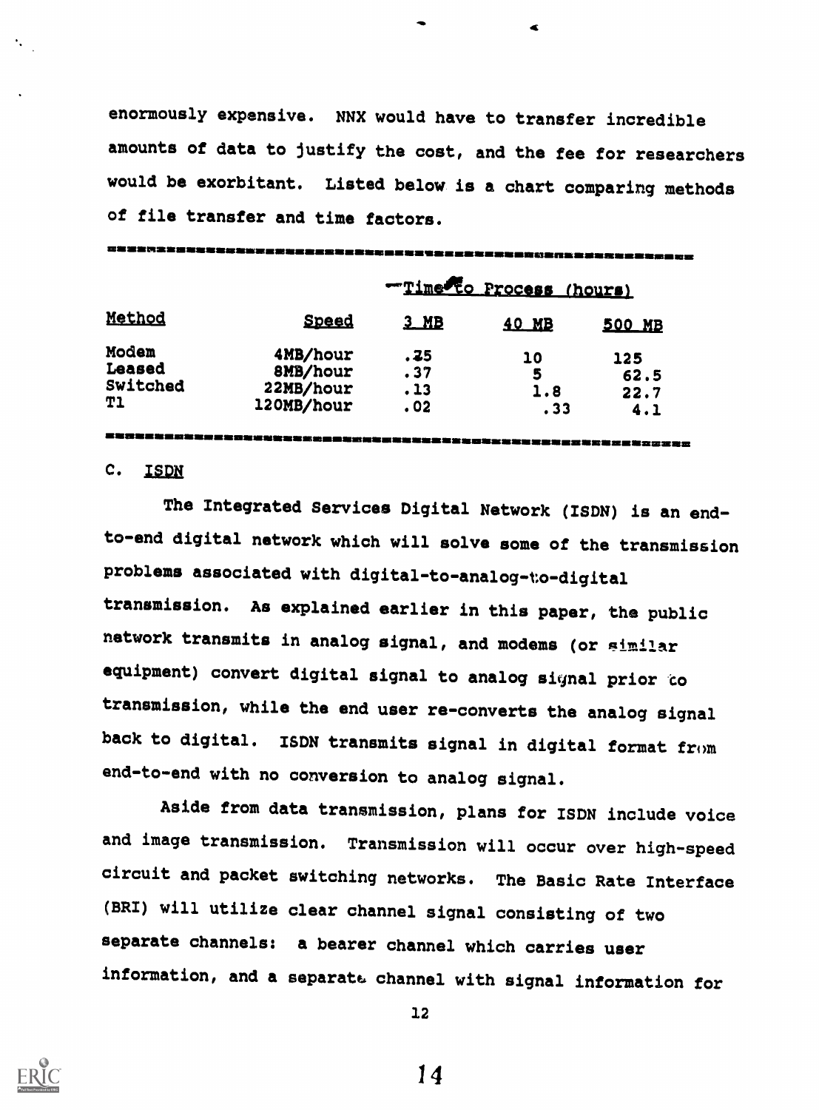enormously expensive. NNX would have to transfer incredible amounts of data to justify the cost, and the fee for researchers would be exorbitant. Listed below is a chart comparing methods of file transfer and time factors.

| Method    | Time to Process (hours) |        |       |        |  |  |  |
|-----------|-------------------------|--------|-------|--------|--|--|--|
|           | <b>Speed</b>            | $3$ MB | 40 MB | 500 MB |  |  |  |
| Modem     | 4MB/hour                | . 75   | 10    | 125    |  |  |  |
| Leased    | 8MB/hour                | .37    | 5     | 62.5   |  |  |  |
| Switched  | 22MB/hour               | .13    | 1.8   | 22.7   |  |  |  |
| <b>Tl</b> | 120MB/hour              | .02    | .33   | 4.1    |  |  |  |

# C. ISDN

The Integrated Services Digital Network (ISDN) is an endto-end digital network which will solve some of the transmission problems associated with digital-to-analog-to-digital transmission. As explained earlier in this paper, the public network transmits in analog signal, and modems (or gimilar equipment) convert digital signal to analog signal prior to transmission, while the end user re-converts the analog signal back to digital. ISDN transmits signal in digital format from end-to-end with no conversion to analog signal.

Aside from data transmission, plans for ISDN include voice and image transmission. Transmission will occur over high-speed circuit and packet switching networks. The Basic Rate Interface (SRI) will utilize clear channel signal consisting of two separate channels: a bearer channel which carries user information, and a separate, channel with signal information for



12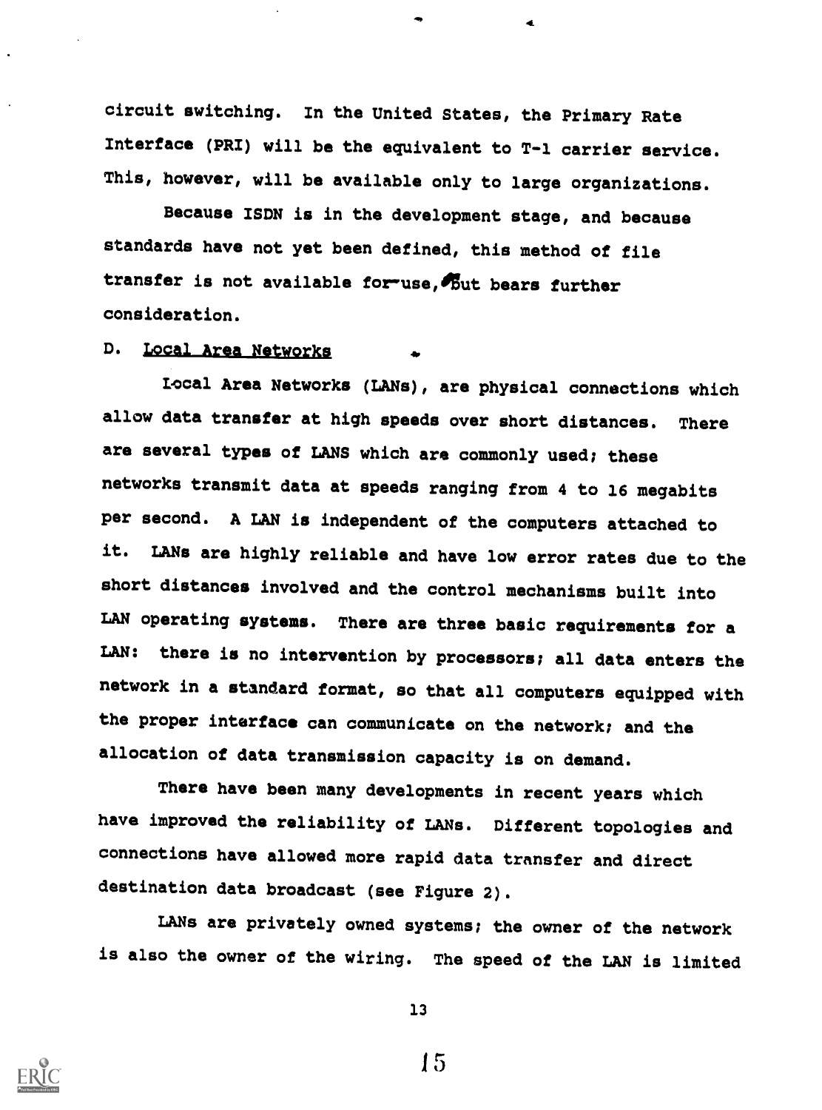circuit switching. In the United States, the Primary Rate Interface (PRI) will be the equivalent to T-1 carrier service. This, however, will be available only to large organizations.

Because ISDN is in the development stage, and because standards have not yet been defined, this method of file transfer is not available for-use, but bears further consideration.

# D. Local Area Networks

Local Area Networks (LANs), are physical connections which allow data transfer at high speeds over short distances. There are several types of LANS which are commonly used; these networks transmit data at speeds ranging from 4 to 16 megabits per second. A LAN is independent of the computers attached to it. LANs are highly reliable and have low error rates due to the short distances involved and the control mechanisms built into LAN operating systems. There are three basic requirements for a LAN: there is no intervention by processors; all data enters the network in a standard format, so that all computers equipped with the proper interface can communicate on the network; and the allocation of data transmission capacity is on demand.

There have been many developments in recent years which have improved the reliability of LANs. Different topologies and connections have allowed more rapid data transfer and direct destination data broadcast (see Figure 2).

LANs are privately owned systems; the owner of the network is also the owner of the wiring. The speed of the LAN is limited



13

1,5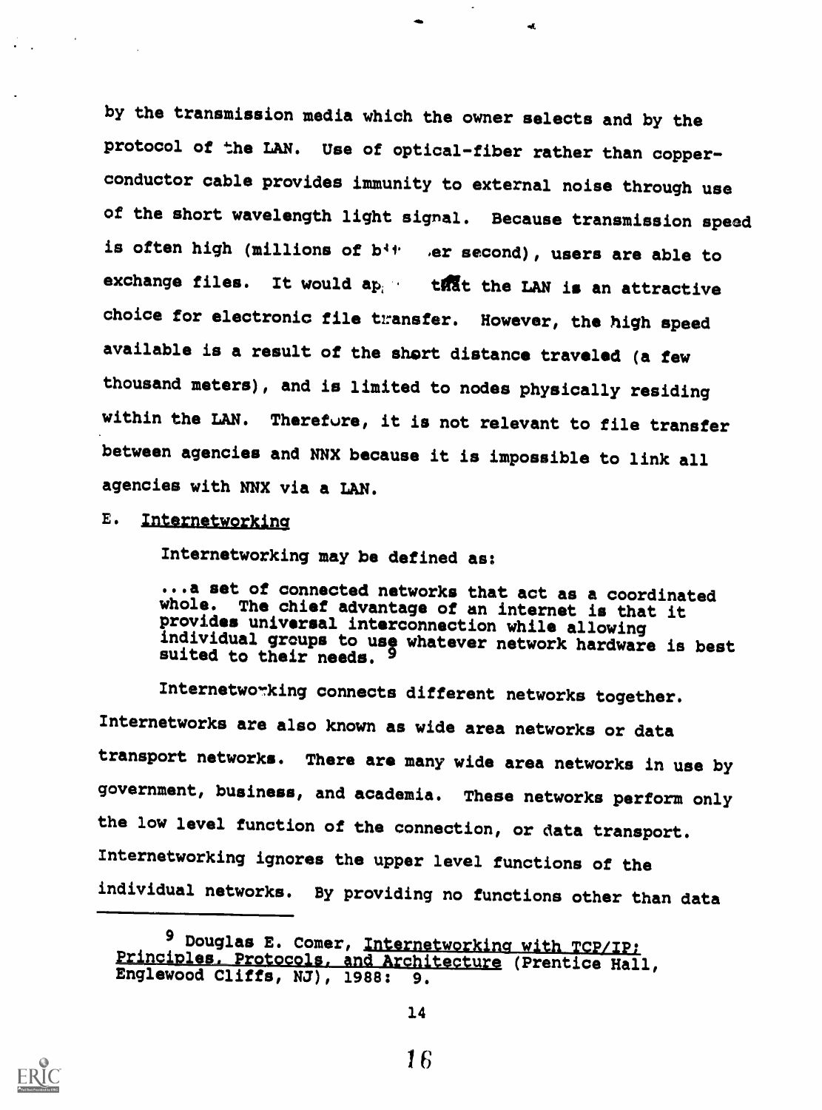by the transmission media which the owner selects and by the protocol of the LAN. Use of optical-fiber rather than copperconductor cable provides immunity to external noise through use of the short wavelength light signal. Because transmission speed is often high (millions of  $b^{4+}$  , er second), users are able to exchange files. It would  $ap_i$  that the LAN is an attractive choice for electronic file transfer. However, the high speed available is a result of the short distance traveled (a few thousand meters), and is limited to nodes physically residing within the LAN. Therefore, it is not relevant to file transfer between agencies and NNX because it is impossible to link all agencies with NNX via a LAN.

#### E. Internetworking

Internetworking may be defined as:

...a set of connected networks that act as a coordinated whole. The chief advantage of an internet is that it provides universal interconnection while allowing individual groups to use whatever network hardware is best suited to their needs. 9

Internetworking connects different networks together. Internetworks are also known as wide area networks or data transport networks. There are many wide area networks in use by government, business, and academia. These networks perform only the low level function of the connection, or data transport. Internetworking ignores the upper level functions of the individual networks. By providing no functions other than data



<sup>9</sup> Douglas E. Comer, Internetworking with TCP/IP:<br>Principles, Protocols, and Architecture (Prentice Hall, Englewood Cliffs, NJ), 1988: 9.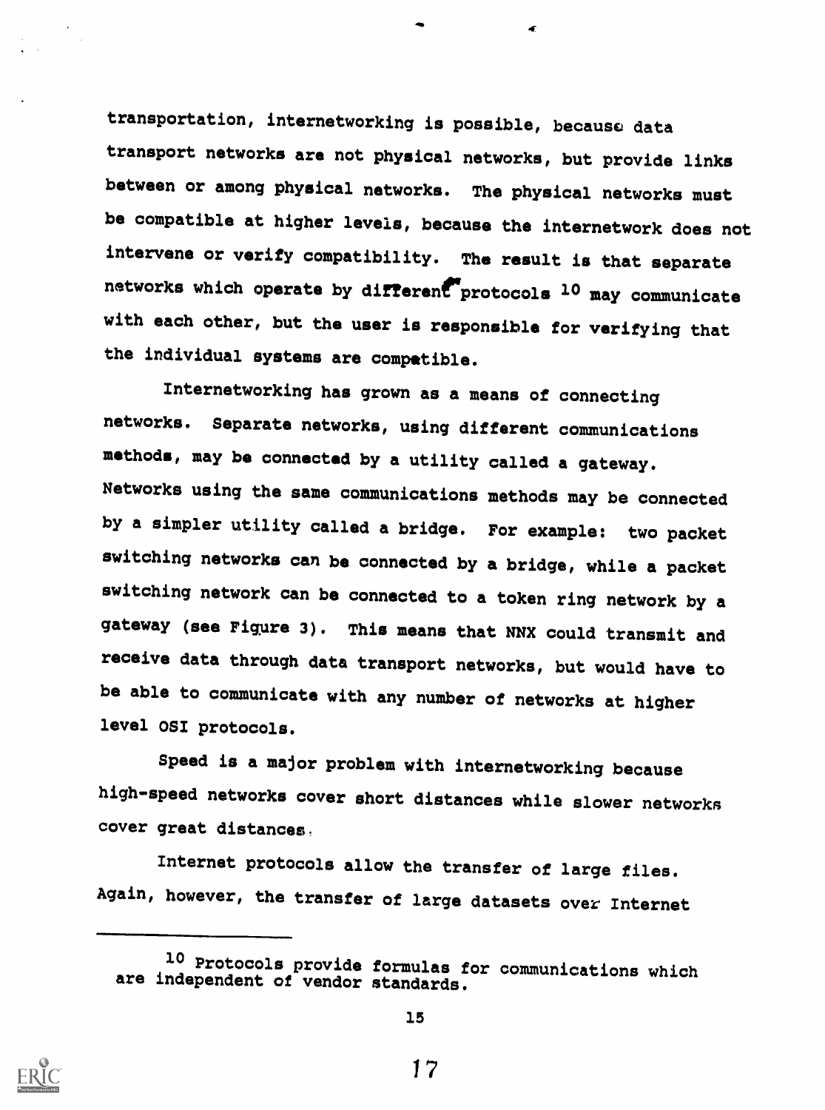transportation, internetworking is possible, becausc data transport networks are not physical networks, but provide links between or among physical networks. The physical networks must be compatible at higher levels, because the internetwork does not intervene or verify compatibility. The result is that separate networks which operate by different protocols 10 may communicate with each other, but the user is responsible for verifying that the individual systems are compatible.

Internetworking has grown as a means of connecting networks. Separate networks, using different communications methods, may be connected by a utility called a gateway. Networks using the same communications methods may be connected by a simpler utility called a bridge. For example: two packet switching networks can be connected by a bridge, while a packet switching network can be connected to a token ring network by <sup>a</sup> gateway (see Figure 3). This means that NNX could transmit and receive data through data transport networks, but would have to be able to communicate with any number of networks at higher level OSI protocols.

Speed is a major problem with internetworking because high-speed networks cover short distances while slower networks cover great distances.

Internet protocols allow the transfer of large files. Again, however, the transfer of large datasets over Internet



<sup>10</sup> Protocols provide formulas for communications which are independent of vendor standards.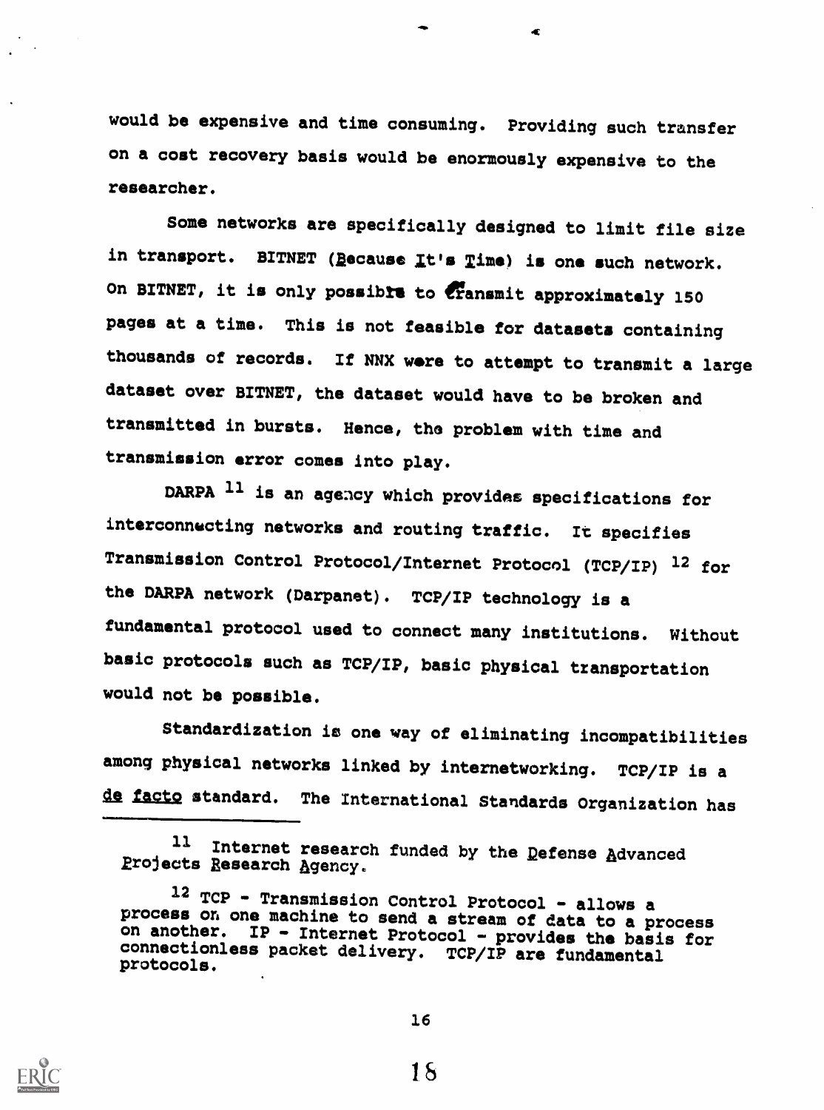would be expensive and time consuming. Providing such transfer on a cost recovery basis would be enormously expensive to the researcher.

Some networks are specifically designed to limit file size in transport. BITNET (Because It's Time) is one such network. On BITNET, it is only possible to cransmit approximately 150 pages at a time. This is not feasible for datasets containing thousands of records. If NNX were to attempt to transmit a large dataset over BITNET, the dataset would have to be broken and transmitted in bursts. Hence, the problem with time and transmission error comes into play.

DARPA <sup>11</sup> is an agency which provides specifications for interconnecting networks and routing traffic. It specifies Transmission Control Protocol/Internet Protocol (TCP/IP) 12 for the DARPA network (Darpanet). TCP/IP technology is <sup>a</sup> fundamental protocol used to connect many institutions. Without basic protocols such as TCP/IP, basic physical transportation would not be possible.

Standardization is one way of eliminating incompatibilities among physical networks linked by internetworking. TCP/IP is a de facto standard. The International Standards Organization has



16

<sup>11</sup> Internet research funded by the Defense Advanced projects Research Agency.

<sup>12</sup> TCP - Transmission Control Protocol - allows a process on one machine to send a stream of data to a process on another. IP - Internet Protocol - provides the basis for connectionless packet delivery. TCP/IP are fundamental protocols.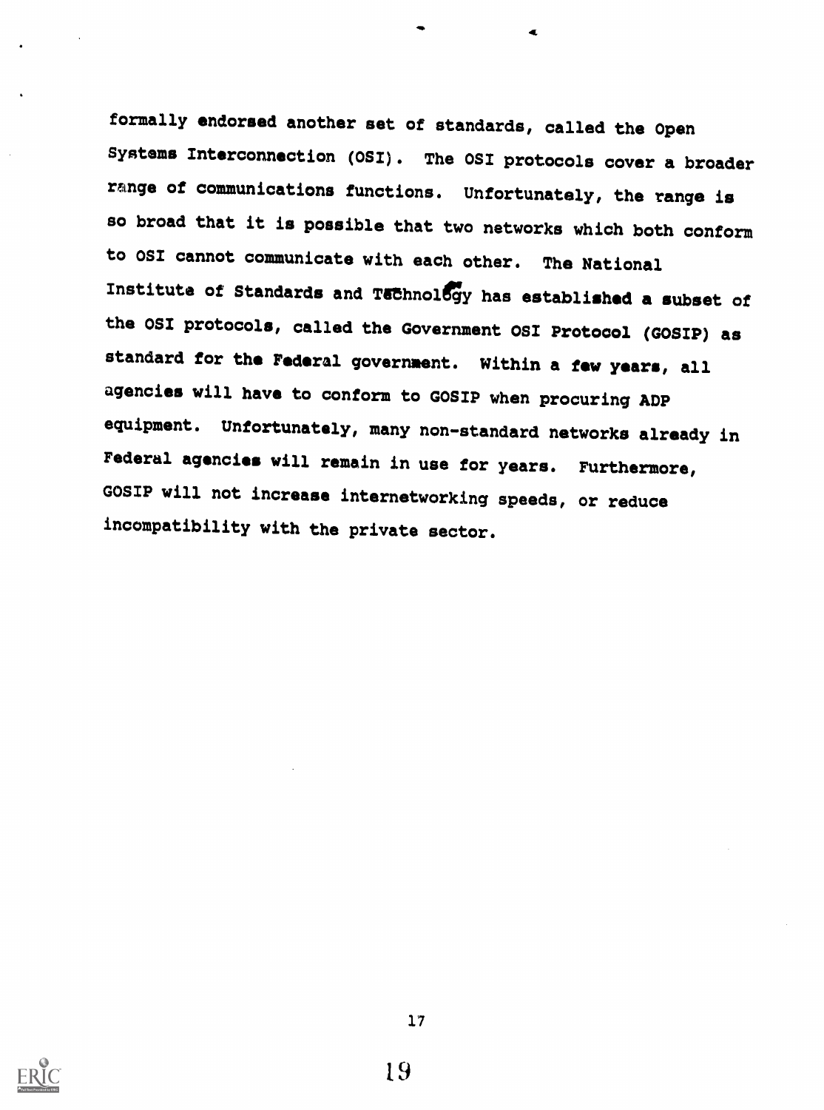formally endorsed another set of standards, called the Open Systems Interconnection (OSI). The OSI protocols cover a broader range of communications functions. Unfortunately, the range is so broad that it is possible that two networks which both conform to OSI cannot communicate with each other. The National Institute of Standards and Technology has established a subset of the OSI protocols, called the Government OSI Protocol (GOSIP) as standard for the Federal government. Within a few years, all agencies will have to conform to GOSIP when procuring ADP equipment. Unfortunately, many non-standard networks already in Federal agencies will remain in use for years. Furthermore, GOSIP will not increase internetworking speeds, or reduce incompatibility with the private sector.



17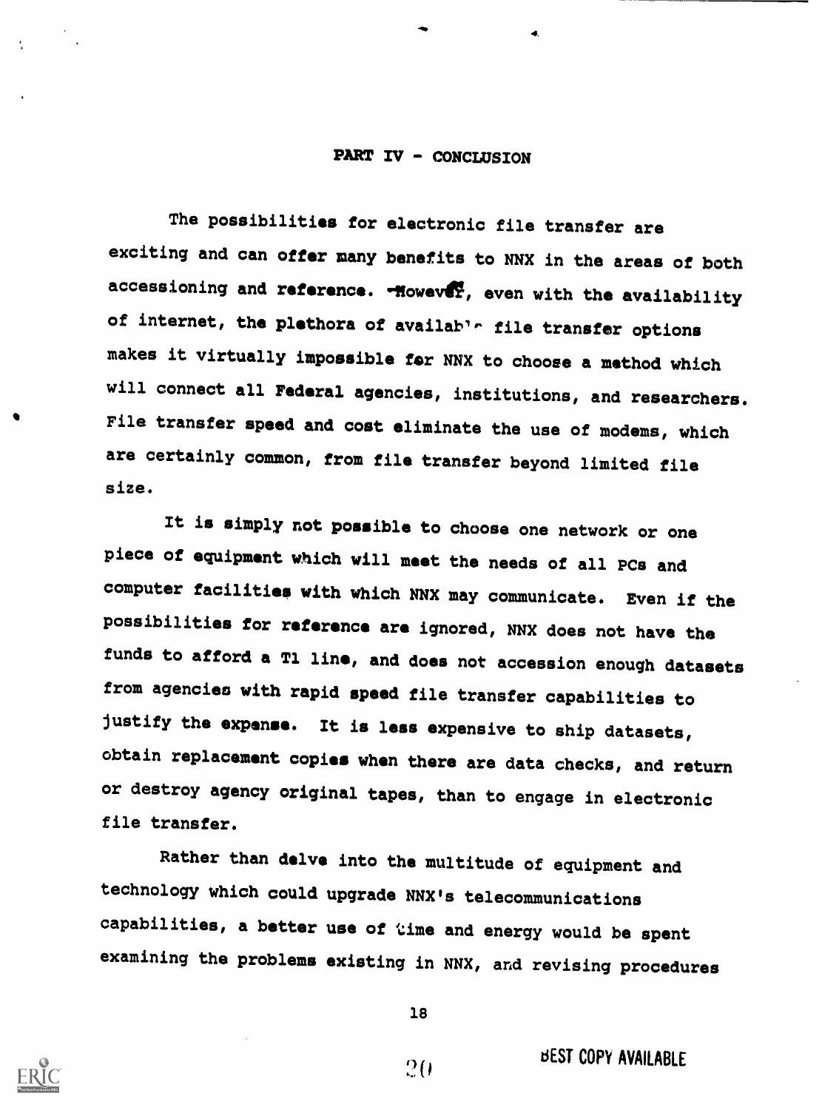#### PART IV - CONCLUSION

The possibilities for electronic file transfer are exciting and can offer many benefits to NNX in the areas of both accessioning and reference. - However, even with the availability of internet, the plethora of available file transfer options makes it virtually impossible for NNX to choose a method which will connect all Federal agencies, institutions, and researchers. File transfer speed and cost eliminate the use of modems, which are certainly common, from file transfer beyond limited file size.

It is simply not possible to choose one network or one piece of equipment which will meet the needs of all PCs and computer facilities with which NNX may communicate. Even if the possibilities for reference are ignored, NNX does not have the funds to afford a T1 line, and does not accession enough datasets from agencies with rapid speed file transfer capabilities to justify the expense. It is less expensive to ship datasets, obtain replacement copies when there are data checks, and return or destroy agency original tapes, than to engage in electronic file transfer.

Rather than delve into the multitude of equipment and technology which could upgrade NNX's telecommunications capabilities, a better use of time and energy would be spent examining the problems existing in NNX, and revising procedures



18

 $20$ 

**BEST COPY AVAILABLE**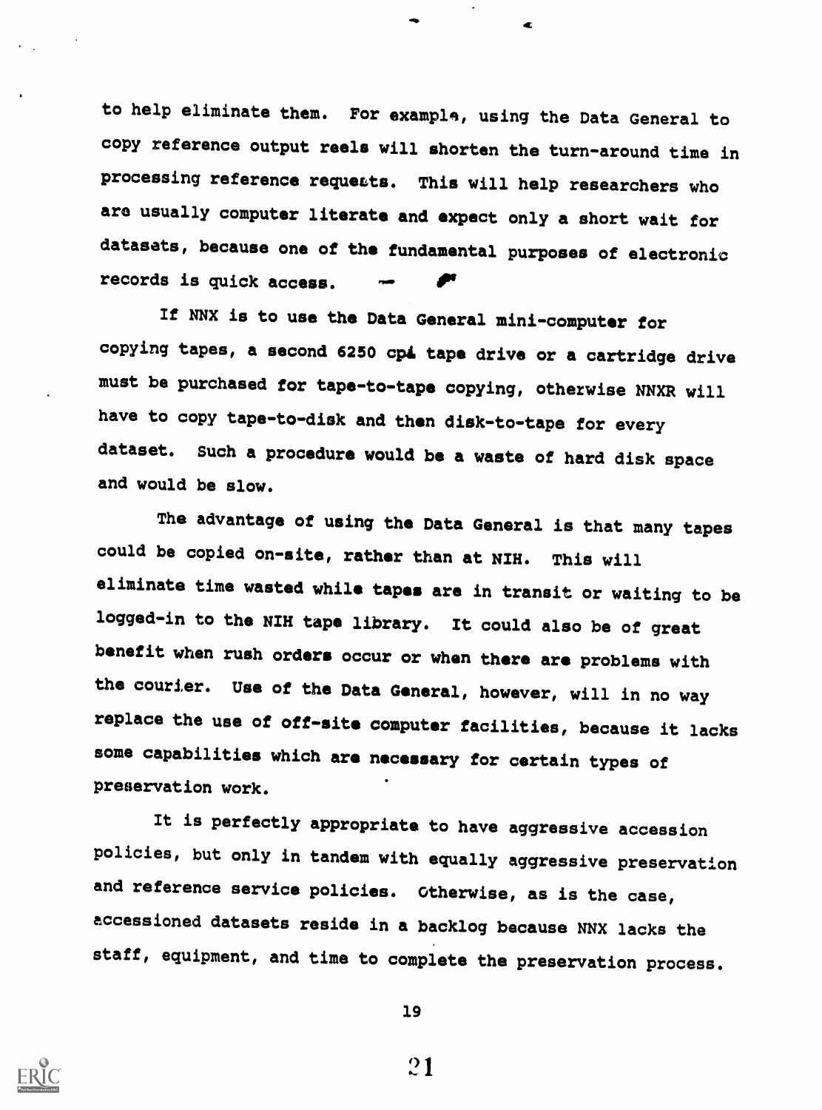to help eliminate them. For example, using the Data General to copy reference output reels will shorten the turn-around time in processing reference requeats. This will help researchers who are usually computer literate and expect only a short wait for datasets, because one of the fundamental purposes of electronic records is quick access.

If NNX is to use the Data General mini-computer for copying tapes, a second 6250 cpi tape drive or a cartridge drive must be purchased for tape-to-tape copying, otherwise NNXR will have to copy tape-to-disk and then disk-to-tape for every dataset. Such a procedure would be a waste of hard disk space and would be slow.

The advantage of using the Data General is that many tapes could be copied on-site, rather than at NIH. This will eliminate time wasted while tapes are in transit or waiting to be logged-in to the NIH tape library. It could also be of great benefit when rush orders occur or when there are problems with the courier. Use of the Data General, however, will in no way replace the use of off-site computer facilities, because it lacks some capabilities which are necessary for certain types of preservation work.

It is perfectly appropriate to have aggressive accession policies, but only in tandem with equally aggressive preservation and reference service policies. Otherwise, as is the case, accessioned datasets reside in a backlog because NNX lacks the staff, equipment, and time to complete the preservation process.



19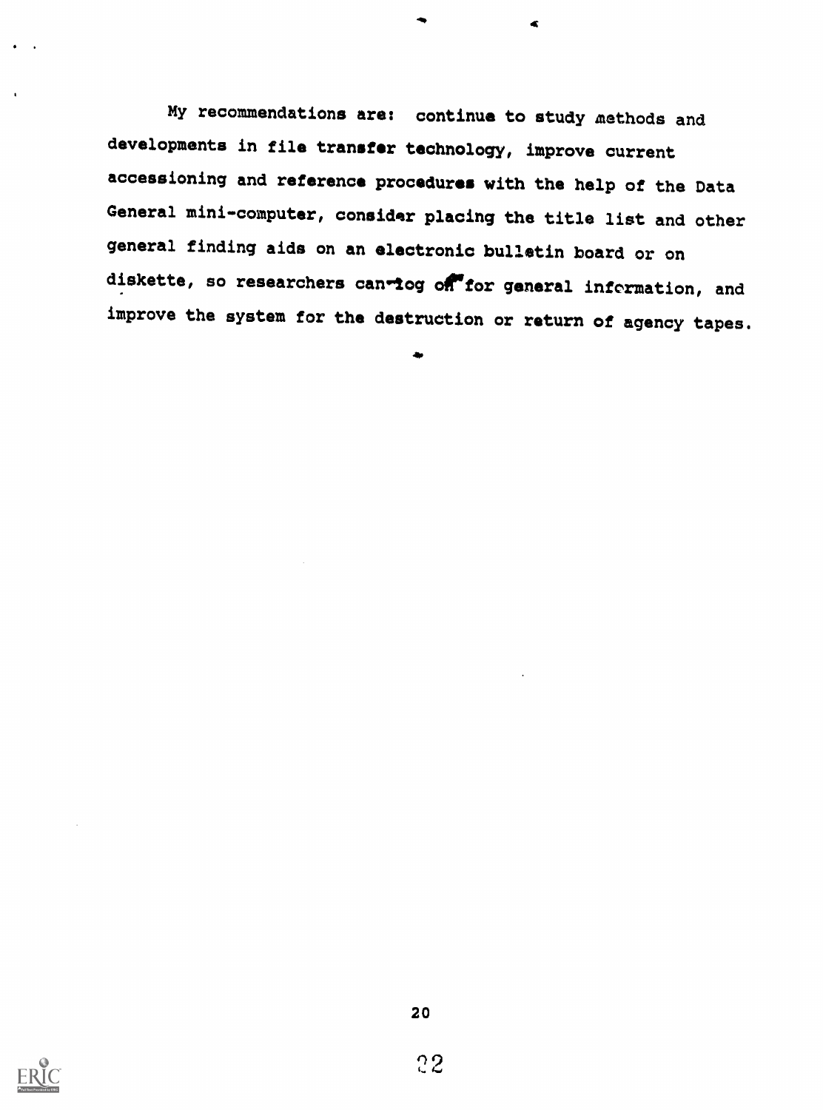My recommendations are: continue to study methods and developments in file transfer technology, improve current accessioning and reference procedures with the help of the Data General mini-computer, consider placing the title list and other general finding aids on an electronic bulletin board or on diskette, so researchers can-log on for general information, and improve the system for the destruction or return of agency tapes.

 $\blacktriangleleft$ 

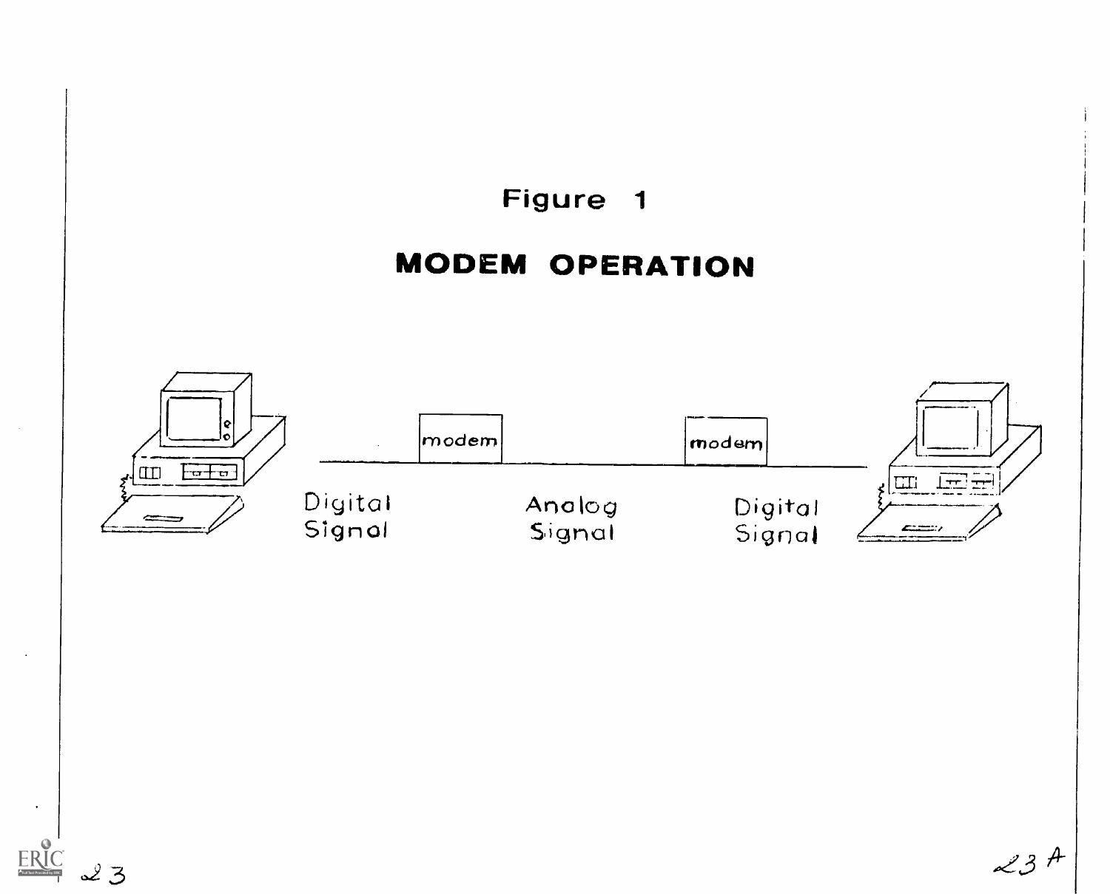

 $23A$ 

 $23$ 

ERIC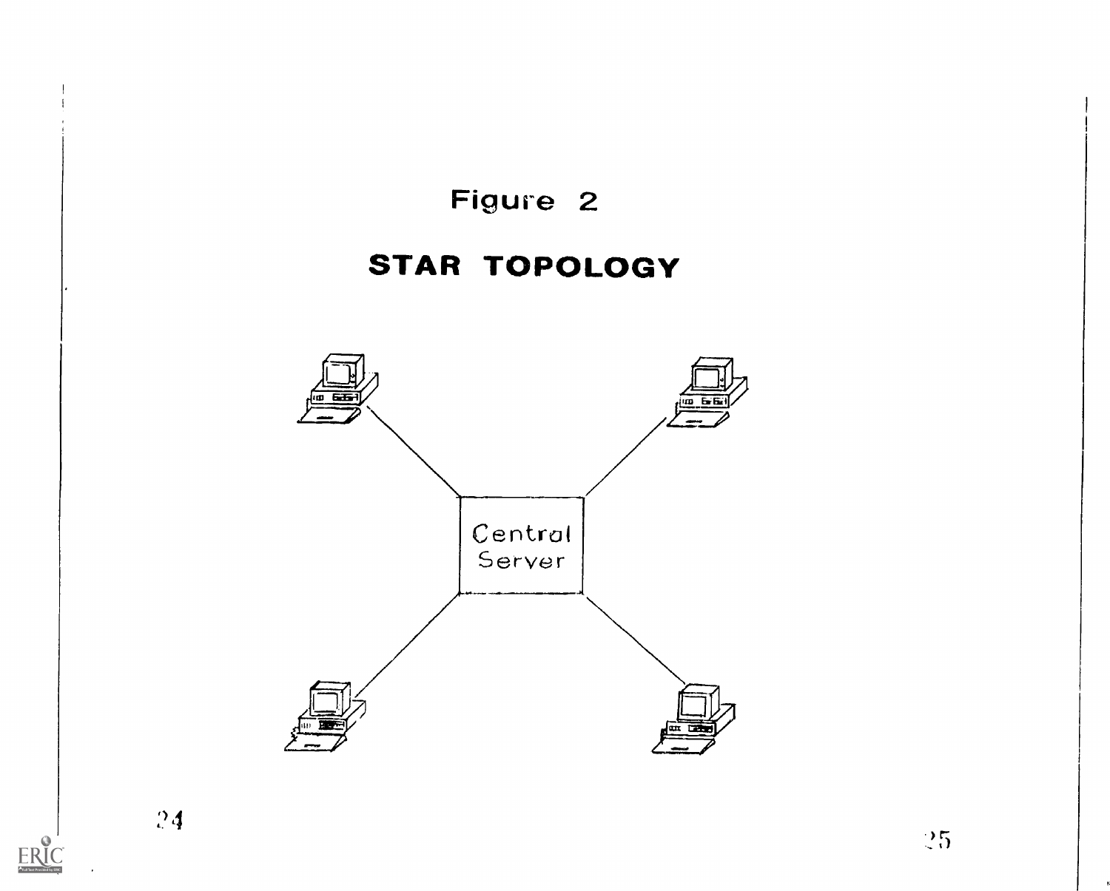

 $\sum_{\text{Full fact Proof of key EBC}}$